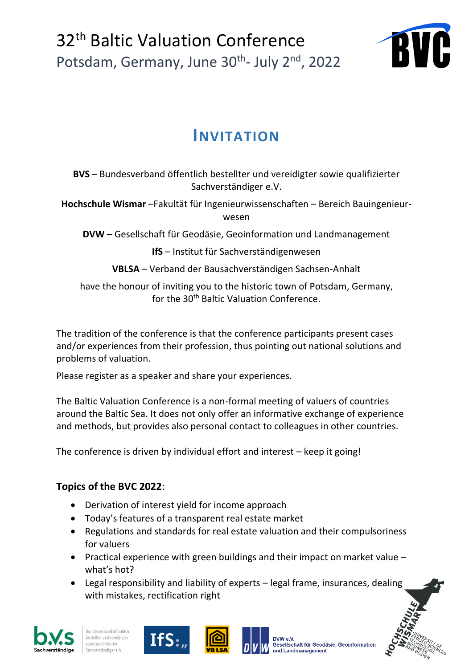

# **INVITATION**

**BVS** – Bundesverband öffentlich bestellter und vereidigter sowie qualifizierter Sachverständiger e.V.

**Hochschule Wismar** –Fakultät für Ingenieurwissenschaften – Bereich Bauingenieurwesen

**DVW** – Gesellschaft für Geodäsie, Geoinformation und Landmanagement

**IfS** – Institut für Sachverständigenwesen

**VBLSA** – Verband der Bausachverständigen Sachsen-Anhalt

have the honour of inviting you to the historic town of Potsdam, Germany, for the 30<sup>th</sup> Baltic Valuation Conference.

The tradition of the conference is that the conference participants present cases and/or experiences from their profession, thus pointing out national solutions and problems of valuation.

Please register as a speaker and share your experiences.

The Baltic Valuation Conference is a non-formal meeting of valuers of countries around the Baltic Sea. It does not only offer an informative exchange of experience and methods, but provides also personal contact to colleagues in other countries.

The conference is driven by individual effort and interest – keep it going!

## **Topics of the BVC 2022**:

- Derivation of interest yield for income approach
- Today's features of a transparent real estate market
- Regulations and standards for real estate valuation and their compulsoriness for valuers
- Practical experience with green buildings and their impact on market value what's hot?
- Legal responsibility and liability of experts legal frame, insurances, dealing with mistakes, rectification right







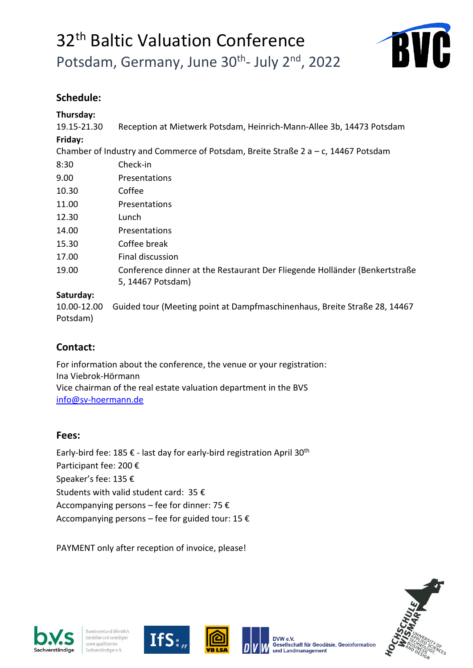

## **Schedule:**

### **Thursday:**

19.15-21.30 Reception at Mietwerk Potsdam, Heinrich-Mann-Allee 3b, 14473 Potsdam **Friday:**

Chamber of Industry and Commerce of Potsdam, Breite Straße 2 a – c, 14467 Potsdam

| 8:30  | Check-in                                                                                         |
|-------|--------------------------------------------------------------------------------------------------|
| 9.00  | Presentations                                                                                    |
| 10.30 | Coffee                                                                                           |
| 11.00 | Presentations                                                                                    |
| 12.30 | Lunch                                                                                            |
| 14.00 | Presentations                                                                                    |
| 15.30 | Coffee break                                                                                     |
| 17.00 | Final discussion                                                                                 |
| 19.00 | Conference dinner at the Restaurant Der Fliegende Holländer (Benkertstraße)<br>5, 14467 Potsdam) |
|       |                                                                                                  |

#### **Saturday:**

10.00-12.00 Guided tour (Meeting point at Dampfmaschinenhaus, Breite Straße 28, 14467 Potsdam)

## **Contact:**

For information about the conference, the venue or your registration: Ina Viebrok-Hörmann Vice chairman of the real estate valuation department in the BVS [info@sv-hoermann.de](mailto:info@sv-hoermann.de)

## **Fees:**

Early-bird fee: 185 € - last day for early-bird registration April 30<sup>th</sup> Participant fee: 200 € Speaker's fee: 135 € Students with valid student card: 35 € Accompanying persons – fee for dinner: 75 € Accompanying persons – fee for guided tour: 15  $\epsilon$ 

PAYMENT only after reception of invoice, please!









Gesellschaft für Geodäsie. Geoinformation

und Landmanagement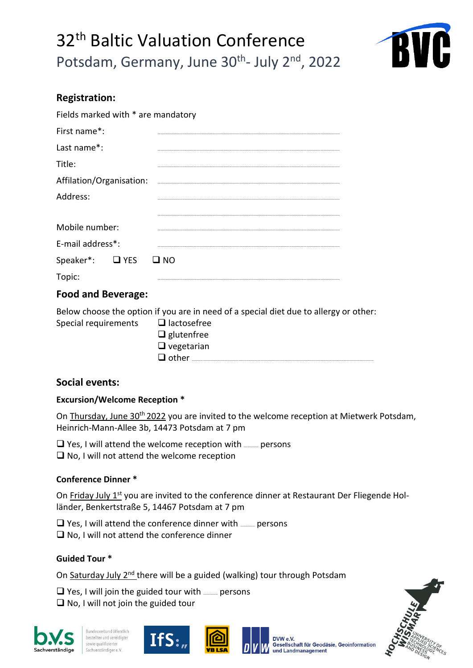

## **Registration:**

| Fields marked with * are mandatory                                                    |  |
|---------------------------------------------------------------------------------------|--|
| First name*:                                                                          |  |
| Last name*:                                                                           |  |
| Title:                                                                                |  |
| Affilation/Organisation:                                                              |  |
| Address:                                                                              |  |
| Mobile number:                                                                        |  |
| E-mail address*:                                                                      |  |
| <b>D</b> YES<br>Speaker*:<br>$\square$ NO                                             |  |
| Topic:                                                                                |  |
| <b>Food and Beverage:</b>                                                             |  |
| Below choose the option if you are in need of a special diet due to allergy or other: |  |

| $\Box$ lactosefree |
|--------------------|
| $\Box$ glutenfree  |
| $\Box$ vegetarian  |
| $\Box$ other       |
|                    |

## **Social events:**

#### **Excursion/Welcome Reception \***

On Thursday, June 30<sup>th</sup> 2022 you are invited to the welcome reception at Mietwerk Potsdam, Heinrich-Mann-Allee 3b, 14473 Potsdam at 7 pm

 $\square$  Yes, I will attend the welcome reception with  $\text{max}$  persons ❑ No, I will not attend the welcome reception

## **Conference Dinner \***

On Friday July 1<sup>st</sup> you are invited to the conference dinner at Restaurant Der Fliegende Holländer, Benkertstraße 5, 14467 Potsdam at 7 pm

 $\Box$  Yes, I will attend the conference dinner with  $\Box$  persons ❑ No, I will not attend the conference dinner

#### **Guided Tour \***

On Saturday July 2<sup>nd</sup> there will be a guided (walking) tour through Potsdam

 $\Box$  Yes, I will join the guided tour with  $\Box$  persons ❑ No, I will not join the guided tour







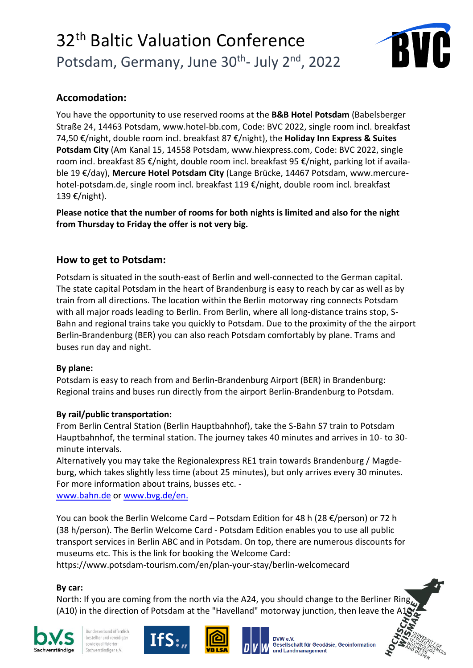

## **Accomodation:**

You have the opportunity to use reserved rooms at the **B&B Hotel Potsdam** (Babelsberger Straße 24, 14463 Potsdam, [www.hotel-bb.com,](https://www.hotel-bb.com/de) Code: BVC 2022, single room incl. breakfast 74,50 €/night, double room incl. breakfast 87 €/night), the **Holiday Inn Express & Suites Potsdam City** (Am Kanal 15, 14558 Potsdam, www.hiexpress.com, Code: BVC 2022, single room incl. breakfast 85 €/night, double room incl. breakfast 95 €/night, parking lot if available 19 €/day), **Mercure Hotel Potsdam City** (Lange Brücke, 14467 Potsdam, www.mercurehotel-potsdam.de, single room incl. breakfast 119 €/night, double room incl. breakfast 139 €/night).

**Please notice that the number of rooms for both nights is limited and also for the night from Thursday to Friday the offer is not very big.** 

## **How to get to Potsdam:**

Potsdam is situated in the south-east of Berlin and well-connected to the German capital. The state capital Potsdam in the heart of Brandenburg is easy to reach by car as well as by train from all directions. The location within the Berlin motorway ring connects Potsdam with all major roads leading to Berlin. From Berlin, where all long-distance trains stop, S-Bahn and regional trains take you quickly to Potsdam. Due to the proximity of the the airport Berlin-Brandenburg (BER) you can also reach Potsdam comfortably by plane. Trams and buses run day and night.

#### **By plane:**

Potsdam is easy to reach from and Berlin-Brandenburg Airport (BER) in Brandenburg: Regional trains and buses run directly from the airport Berlin-Brandenburg to Potsdam.

## **By rail/public transportation:**

From Berlin Central Station (Berlin Hauptbahnhof), take the S-Bahn S7 train to Potsdam Hauptbahnhof, the terminal station. The journey takes 40 minutes and arrives in 10- to 30 minute intervals.

Alternatively you may take the Regionalexpress RE1 train towards Brandenburg / Magdeburg, which takes slightly less time (about 25 minutes), but only arrives every 30 minutes. For more information about trains, busses etc. -

www.bahn.de or [www.bvg.de/en.](http://www.bvg.de/en)

You can book the Berlin Welcome Card – Potsdam Edition for 48 h (28 €/person) or 72 h (38 h/person). The Berlin Welcome Card - Potsdam Edition enables you to use all public transport services in Berlin ABC and in Potsdam. On top, there are numerous discounts for museums etc. This is the link for booking the Welcome Card:

https://www.potsdam-tourism.com/en/plan-your-stay/berlin-welcomecard

## **By car:**

North: If you are coming from the north via the A24, you should change to the Berliner Ring (A10) in the direction of Potsdam at the "Havelland" motorway junction, then leave the A1



Bundesverband öffentlich bestellter und vereidigter sowie qualifizierter Sachverständiger e.V





**Gesellschaft für Geodäsie. Geoinformation** und Landmanagement